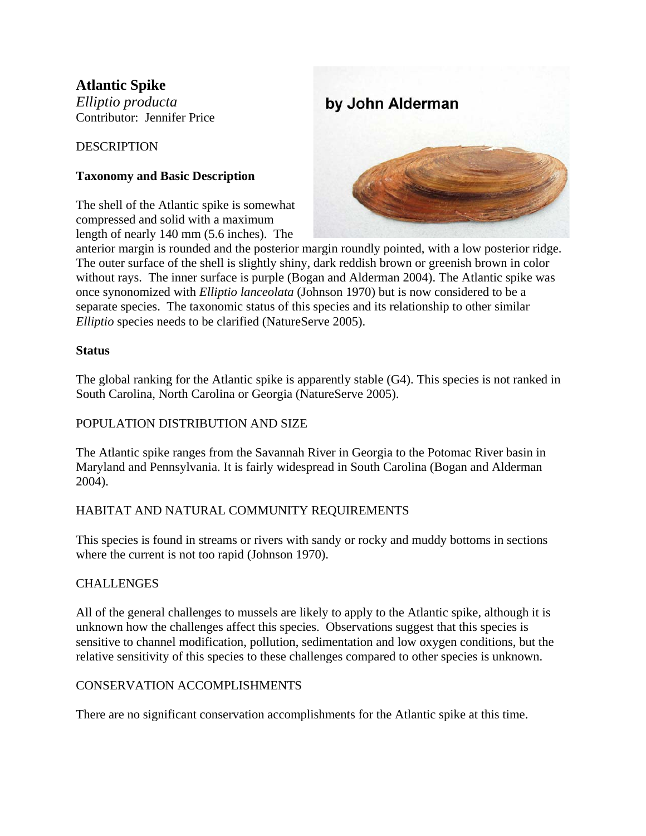# **Atlantic Spike**

*Elliptio producta*  Contributor: Jennifer Price

### **DESCRIPTION**

## **Taxonomy and Basic Description**

The shell of the Atlantic spike is somewhat compressed and solid with a maximum length of nearly 140 mm (5.6 inches). The



anterior margin is rounded and the posterior margin roundly pointed, with a low posterior ridge. The outer surface of the shell is slightly shiny, dark reddish brown or greenish brown in color without rays. The inner surface is purple (Bogan and Alderman 2004). The Atlantic spike was once synonomized with *Elliptio lanceolata* (Johnson 1970) but is now considered to be a separate species. The taxonomic status of this species and its relationship to other similar *Elliptio* species needs to be clarified (NatureServe 2005).

#### **Status**

The global ranking for the Atlantic spike is apparently stable (G4). This species is not ranked in South Carolina, North Carolina or Georgia (NatureServe 2005).

#### POPULATION DISTRIBUTION AND SIZE

The Atlantic spike ranges from the Savannah River in Georgia to the Potomac River basin in Maryland and Pennsylvania. It is fairly widespread in South Carolina (Bogan and Alderman 2004).

## HABITAT AND NATURAL COMMUNITY REQUIREMENTS

This species is found in streams or rivers with sandy or rocky and muddy bottoms in sections where the current is not too rapid (Johnson 1970).

## CHALLENGES

All of the general challenges to mussels are likely to apply to the Atlantic spike, although it is unknown how the challenges affect this species. Observations suggest that this species is sensitive to channel modification, pollution, sedimentation and low oxygen conditions, but the relative sensitivity of this species to these challenges compared to other species is unknown.

#### CONSERVATION ACCOMPLISHMENTS

There are no significant conservation accomplishments for the Atlantic spike at this time.